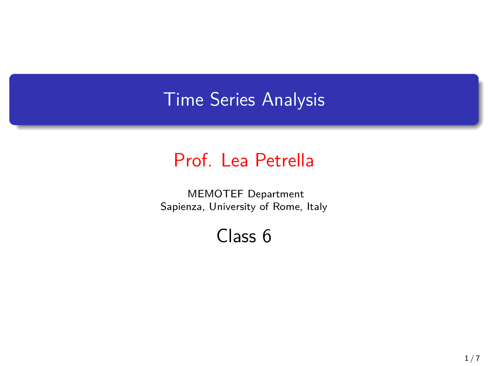### Time Series Analysis

### Prof. Lea Petrella

MEMOTEF Department Sapienza, University of Rome, Italy

#### Class 6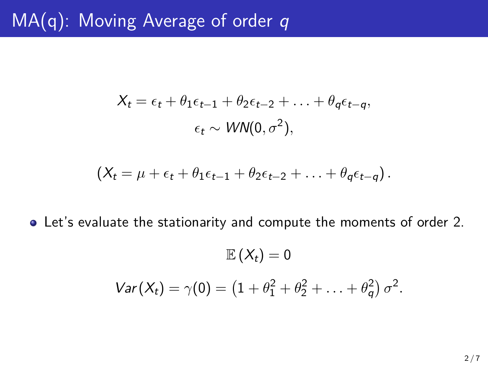## MA(q): Moving Average of order *q*

$$
X_t = \epsilon_t + \theta_1 \epsilon_{t-1} + \theta_2 \epsilon_{t-2} + \ldots + \theta_q \epsilon_{t-q},
$$
  

$$
\epsilon_t \sim \text{WN}(0, \sigma^2),
$$

$$
(X_t = \mu + \epsilon_t + \theta_1 \epsilon_{t-1} + \theta_2 \epsilon_{t-2} + \ldots + \theta_q \epsilon_{t-q}).
$$

Let's evaluate the stationarity and compute the moments of order 2.

$$
\mathbb{E}(X_t) = 0
$$
  
 
$$
Var(X_t) = \gamma(0) = (1 + \theta_1^2 + \theta_2^2 + \ldots + \theta_q^2) \sigma^2.
$$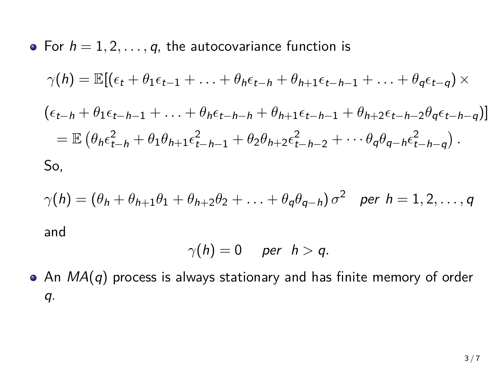• For 
$$
h = 1, 2, ..., q
$$
, the autocovariance function is  
\n
$$
\gamma(h) = \mathbb{E}[(\epsilon_t + \theta_1 \epsilon_{t-1} + ... + \theta_h \epsilon_{t-h} + \theta_{h+1} \epsilon_{t-h-1} + ... + \theta_q \epsilon_{t-q}) \times
$$
\n
$$
(\epsilon_{t-h} + \theta_1 \epsilon_{t-h-1} + ... + \theta_h \epsilon_{t-h-h} + \theta_{h+1} \epsilon_{t-h-1} + \theta_{h+2} \epsilon_{t-h-2} \theta_q \epsilon_{t-h-q})]
$$
\n
$$
= \mathbb{E}(\theta_h \epsilon_{t-h}^2 + \theta_1 \theta_{h+1} \epsilon_{t-h-1}^2 + \theta_2 \theta_{h+2} \epsilon_{t-h-2}^2 + ... \theta_q \theta_{q-h} \epsilon_{t-h-q}^2).
$$
\nSo,

$$
\gamma(h) = (\theta_h + \theta_{h+1}\theta_1 + \theta_{h+2}\theta_2 + \dots + \theta_q\theta_{q-h})\sigma^2 \quad \text{per } h = 1, 2, \dots, q
$$
  
and

$$
\gamma(h)=0\quad\text{per}\quad h>q.
$$

An *MA*(*q*) process is always stationary and has finite memory of order *q*.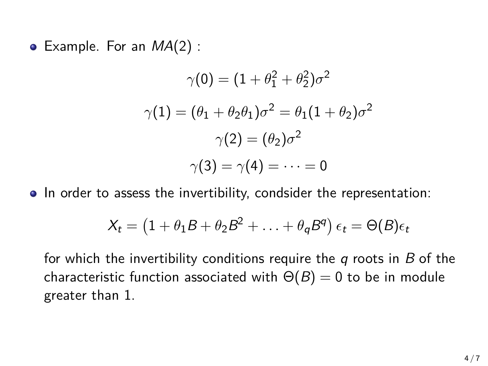Example. For an *MA*(2) :

$$
\gamma(0) = (1 + \theta_1^2 + \theta_2^2)\sigma^2
$$

$$
\gamma(1) = (\theta_1 + \theta_2\theta_1)\sigma^2 = \theta_1(1 + \theta_2)\sigma^2
$$

$$
\gamma(2) = (\theta_2)\sigma^2
$$

$$
\gamma(3) = \gamma(4) = \dots = 0
$$

• In order to assess the invertibility, condsider the representation:

$$
X_t = (1 + \theta_1 B + \theta_2 B^2 + \ldots + \theta_q B^q) \epsilon_t = \Theta(B) \epsilon_t
$$

for which the invertibility conditions require the *q* roots in *B* of the characteristic function associated with  $\Theta(B) = 0$  to be in module greater than 1.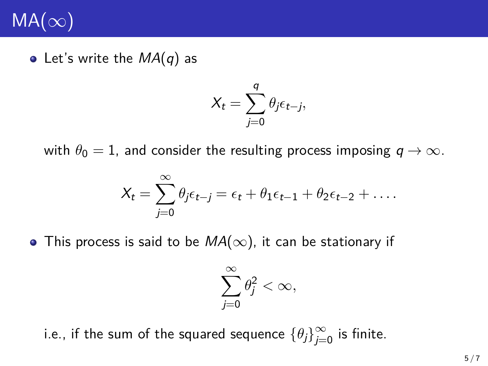# MA(*∞*)

Let's write the *MA*(*q*) as

$$
X_t = \sum_{j=0}^q \theta_j \epsilon_{t-j},
$$

with  $\theta_0 = 1$ , and consider the resulting process imposing  $q \to \infty$ .

$$
X_t = \sum_{j=0}^{\infty} \theta_j \epsilon_{t-j} = \epsilon_t + \theta_1 \epsilon_{t-1} + \theta_2 \epsilon_{t-2} + \dots
$$

This process is said to be *MA*(*∞*), it can be stationary if

$$
\sum_{j=0}^{\infty} \theta_j^2 < \infty,
$$

i.e., if the sum of the squared sequence  $\{\theta_j\}_{j=0}^\infty$  is finite.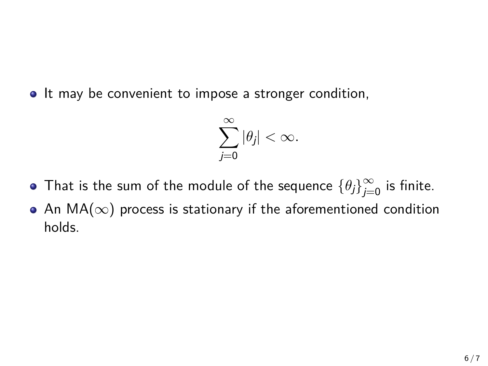• It may be convenient to impose a stronger condition,

$$
\sum_{j=0}^{\infty}|\theta_j|<\infty.
$$

- That is the sum of the module of the sequence  $\{\theta_j\}_{j=0}^\infty$  is finite.
- An MA(*∞*) process is stationary if the aforementioned condition holds.